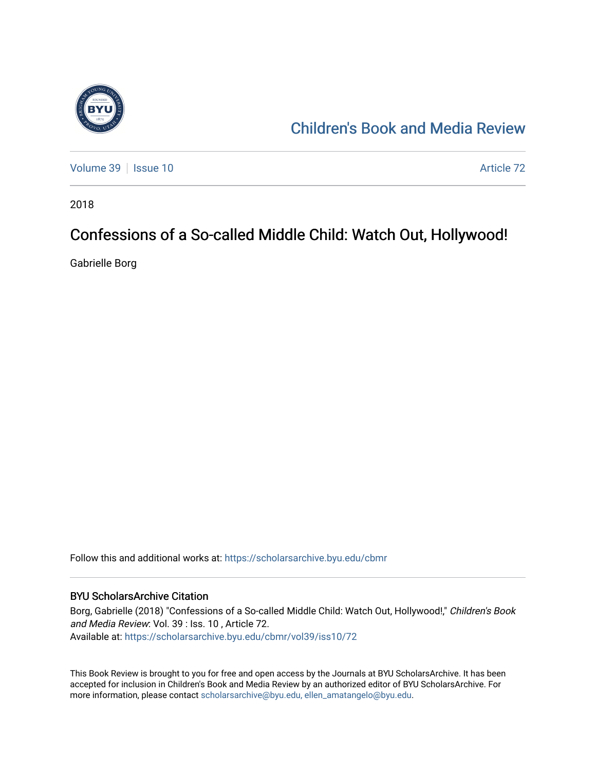

# [Children's Book and Media Review](https://scholarsarchive.byu.edu/cbmr)

[Volume 39](https://scholarsarchive.byu.edu/cbmr/vol39) | [Issue 10](https://scholarsarchive.byu.edu/cbmr/vol39/iss10) Article 72

2018

## Confessions of a So-called Middle Child: Watch Out, Hollywood!

Gabrielle Borg

Follow this and additional works at: [https://scholarsarchive.byu.edu/cbmr](https://scholarsarchive.byu.edu/cbmr?utm_source=scholarsarchive.byu.edu%2Fcbmr%2Fvol39%2Fiss10%2F72&utm_medium=PDF&utm_campaign=PDFCoverPages) 

#### BYU ScholarsArchive Citation

Borg, Gabrielle (2018) "Confessions of a So-called Middle Child: Watch Out, Hollywood!," Children's Book and Media Review: Vol. 39 : Iss. 10 , Article 72. Available at: [https://scholarsarchive.byu.edu/cbmr/vol39/iss10/72](https://scholarsarchive.byu.edu/cbmr/vol39/iss10/72?utm_source=scholarsarchive.byu.edu%2Fcbmr%2Fvol39%2Fiss10%2F72&utm_medium=PDF&utm_campaign=PDFCoverPages) 

This Book Review is brought to you for free and open access by the Journals at BYU ScholarsArchive. It has been accepted for inclusion in Children's Book and Media Review by an authorized editor of BYU ScholarsArchive. For more information, please contact [scholarsarchive@byu.edu, ellen\\_amatangelo@byu.edu.](mailto:scholarsarchive@byu.edu,%20ellen_amatangelo@byu.edu)